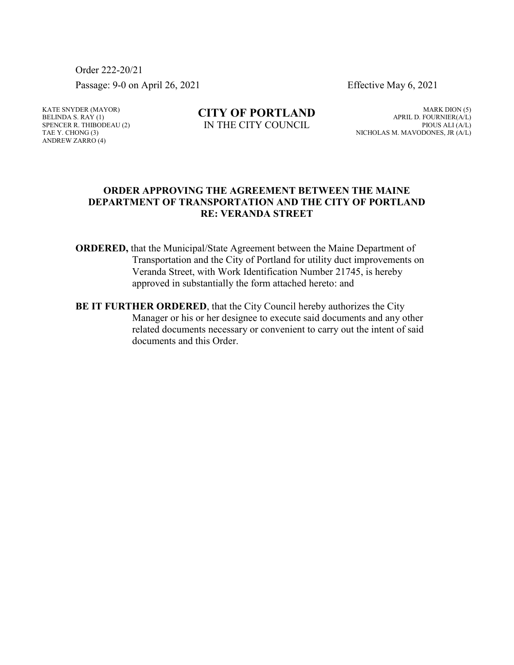Order 222-20/21

Passage: 9-0 on April 26, 2021 Effective May 6, 2021

KATE SNYDER (MAYOR) BELINDA S. RAY (1) SPENCER R. THIBODEAU  $(2)$ TAE Y. CHONG (3) ANDREW ZARRO (4)

**CITY OF PORTLAND** IN THE CITY COUNCIL

MARK DION (5) APRIL D. FOURNIER(A/L) PIOUS ALI (A/L) NICHOLAS M. MAVODONES, JR (A/L)

### **ORDER APPROVING THE AGREEMENT BETWEEN THE MAINE DEPARTMENT OF TRANSPORTATION AND THE CITY OF PORTLAND RE: VERANDA STREET**

- **ORDERED,** that the Municipal/State Agreement between the Maine Department of Transportation and the City of Portland for utility duct improvements on Veranda Street, with Work Identification Number 21745, is hereby approved in substantially the form attached hereto: and
- **BE IT FURTHER ORDERED**, that the City Council hereby authorizes the City Manager or his or her designee to execute said documents and any other related documents necessary or convenient to carry out the intent of said documents and this Order.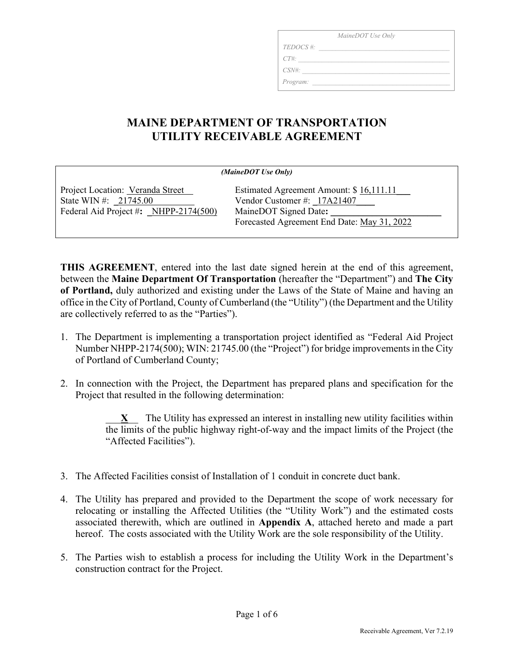|           | MaineDOT Use Only |
|-----------|-------------------|
| TEDOCS #: |                   |
| CT#       |                   |
| $CSN\#$ : |                   |
| Program:  |                   |

# **MAINE DEPARTMENT OF TRANSPORTATION UTILITY RECEIVABLE AGREEMENT**

| (MaineDOT Use Only)                                                                                  |                                                                                                                                                |  |  |
|------------------------------------------------------------------------------------------------------|------------------------------------------------------------------------------------------------------------------------------------------------|--|--|
| Project Location: Veranda Street<br>State WIN #: $21745.00$<br>Federal Aid Project #: NHPP-2174(500) | Estimated Agreement Amount: \$16,111.11<br>Vendor Customer #: 17A21407<br>MaineDOT Signed Date:<br>Forecasted Agreement End Date: May 31, 2022 |  |  |

**THIS AGREEMENT**, entered into the last date signed herein at the end of this agreement, between the **Maine Department Of Transportation** (hereafter the "Department") and **The City of Portland,** duly authorized and existing under the Laws of the State of Maine and having an office in the City of Portland, County of Cumberland (the "Utility") (the Department and the Utility are collectively referred to as the "Parties").

- 1. The Department is implementing a transportation project identified as "Federal Aid Project Number NHPP-2174(500); WIN: 21745.00 (the "Project") for bridge improvements in the City of Portland of Cumberland County;
- 2. In connection with the Project, the Department has prepared plans and specification for the Project that resulted in the following determination:

\_\_\_**X**\_\_ The Utility has expressed an interest in installing new utility facilities within the limits of the public highway right-of-way and the impact limits of the Project (the "Affected Facilities").

- 3. The Affected Facilities consist of Installation of 1 conduit in concrete duct bank.
- 4. The Utility has prepared and provided to the Department the scope of work necessary for relocating or installing the Affected Utilities (the "Utility Work") and the estimated costs associated therewith, which are outlined in **Appendix A**, attached hereto and made a part hereof. The costs associated with the Utility Work are the sole responsibility of the Utility.
- 5. The Parties wish to establish a process for including the Utility Work in the Department's construction contract for the Project.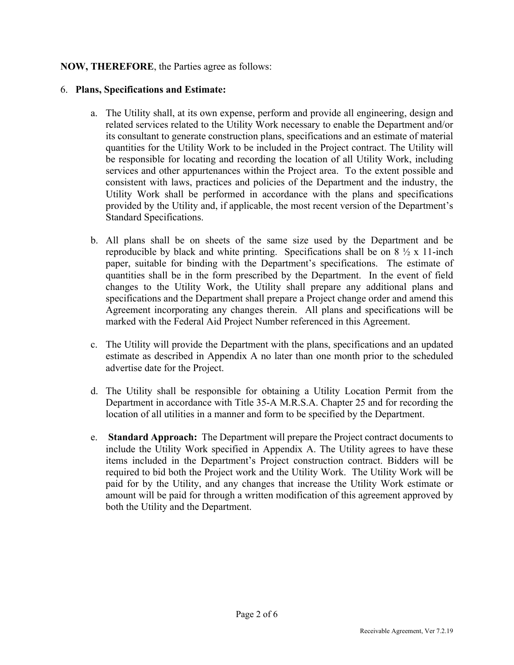### **NOW, THEREFORE**, the Parties agree as follows:

#### 6. **Plans, Specifications and Estimate:**

- a. The Utility shall, at its own expense, perform and provide all engineering, design and related services related to the Utility Work necessary to enable the Department and/or its consultant to generate construction plans, specifications and an estimate of material quantities for the Utility Work to be included in the Project contract. The Utility will be responsible for locating and recording the location of all Utility Work, including services and other appurtenances within the Project area. To the extent possible and consistent with laws, practices and policies of the Department and the industry, the Utility Work shall be performed in accordance with the plans and specifications provided by the Utility and, if applicable, the most recent version of the Department's Standard Specifications.
- b. All plans shall be on sheets of the same size used by the Department and be reproducible by black and white printing. Specifications shall be on  $8 \frac{1}{2} \times 11$ -inch paper, suitable for binding with the Department's specifications. The estimate of quantities shall be in the form prescribed by the Department. In the event of field changes to the Utility Work, the Utility shall prepare any additional plans and specifications and the Department shall prepare a Project change order and amend this Agreement incorporating any changes therein. All plans and specifications will be marked with the Federal Aid Project Number referenced in this Agreement.
- c. The Utility will provide the Department with the plans, specifications and an updated estimate as described in Appendix A no later than one month prior to the scheduled advertise date for the Project.
- d. The Utility shall be responsible for obtaining a Utility Location Permit from the Department in accordance with Title 35-A M.R.S.A. Chapter 25 and for recording the location of all utilities in a manner and form to be specified by the Department.
- e. **Standard Approach:** The Department will prepare the Project contract documents to include the Utility Work specified in Appendix A. The Utility agrees to have these items included in the Department's Project construction contract. Bidders will be required to bid both the Project work and the Utility Work. The Utility Work will be paid for by the Utility, and any changes that increase the Utility Work estimate or amount will be paid for through a written modification of this agreement approved by both the Utility and the Department.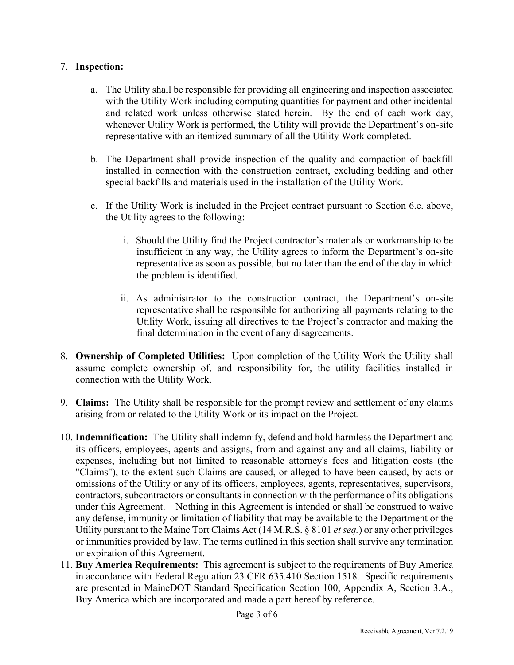### 7. **Inspection:**

- a. The Utility shall be responsible for providing all engineering and inspection associated with the Utility Work including computing quantities for payment and other incidental and related work unless otherwise stated herein. By the end of each work day, whenever Utility Work is performed, the Utility will provide the Department's on-site representative with an itemized summary of all the Utility Work completed.
- b. The Department shall provide inspection of the quality and compaction of backfill installed in connection with the construction contract, excluding bedding and other special backfills and materials used in the installation of the Utility Work.
- c. If the Utility Work is included in the Project contract pursuant to Section 6.e. above, the Utility agrees to the following:
	- i. Should the Utility find the Project contractor's materials or workmanship to be insufficient in any way, the Utility agrees to inform the Department's on-site representative as soon as possible, but no later than the end of the day in which the problem is identified.
	- ii. As administrator to the construction contract, the Department's on-site representative shall be responsible for authorizing all payments relating to the Utility Work, issuing all directives to the Project's contractor and making the final determination in the event of any disagreements.
- 8. **Ownership of Completed Utilities:** Upon completion of the Utility Work the Utility shall assume complete ownership of, and responsibility for, the utility facilities installed in connection with the Utility Work.
- 9. **Claims:** The Utility shall be responsible for the prompt review and settlement of any claims arising from or related to the Utility Work or its impact on the Project.
- 10. **Indemnification:** The Utility shall indemnify, defend and hold harmless the Department and its officers, employees, agents and assigns, from and against any and all claims, liability or expenses, including but not limited to reasonable attorney's fees and litigation costs (the "Claims"), to the extent such Claims are caused, or alleged to have been caused, by acts or omissions of the Utility or any of its officers, employees, agents, representatives, supervisors, contractors, subcontractors or consultants in connection with the performance of its obligations under this Agreement. Nothing in this Agreement is intended or shall be construed to waive any defense, immunity or limitation of liability that may be available to the Department or the Utility pursuant to the Maine Tort Claims Act (14 M.R.S. § 8101 *et seq.*) or any other privileges or immunities provided by law. The terms outlined in this section shall survive any termination or expiration of this Agreement.
- 11. **Buy America Requirements:** This agreement is subject to the requirements of Buy America in accordance with Federal Regulation 23 CFR 635.410 Section 1518. Specific requirements are presented in MaineDOT Standard Specification Section 100, Appendix A, Section 3.A., Buy America which are incorporated and made a part hereof by reference.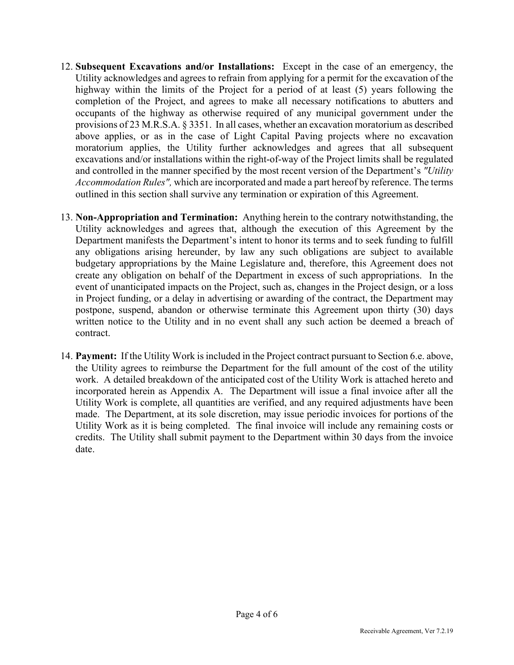- 12. **Subsequent Excavations and/or Installations:** Except in the case of an emergency, the Utility acknowledges and agrees to refrain from applying for a permit for the excavation of the highway within the limits of the Project for a period of at least (5) years following the completion of the Project, and agrees to make all necessary notifications to abutters and occupants of the highway as otherwise required of any municipal government under the provisions of 23 M.R.S.A. § 3351. In all cases, whether an excavation moratorium as described above applies, or as in the case of Light Capital Paving projects where no excavation moratorium applies, the Utility further acknowledges and agrees that all subsequent excavations and/or installations within the right-of-way of the Project limits shall be regulated and controlled in the manner specified by the most recent version of the Department's *"Utility Accommodation Rules",* which are incorporated and made a part hereof by reference. The terms outlined in this section shall survive any termination or expiration of this Agreement.
- 13. **Non-Appropriation and Termination:** Anything herein to the contrary notwithstanding, the Utility acknowledges and agrees that, although the execution of this Agreement by the Department manifests the Department's intent to honor its terms and to seek funding to fulfill any obligations arising hereunder, by law any such obligations are subject to available budgetary appropriations by the Maine Legislature and, therefore, this Agreement does not create any obligation on behalf of the Department in excess of such appropriations. In the event of unanticipated impacts on the Project, such as, changes in the Project design, or a loss in Project funding, or a delay in advertising or awarding of the contract, the Department may postpone, suspend, abandon or otherwise terminate this Agreement upon thirty (30) days written notice to the Utility and in no event shall any such action be deemed a breach of contract.
- 14. **Payment:** If the Utility Work is included in the Project contract pursuant to Section 6.e. above, the Utility agrees to reimburse the Department for the full amount of the cost of the utility work. A detailed breakdown of the anticipated cost of the Utility Work is attached hereto and incorporated herein as Appendix A. The Department will issue a final invoice after all the Utility Work is complete, all quantities are verified, and any required adjustments have been made. The Department, at its sole discretion, may issue periodic invoices for portions of the Utility Work as it is being completed. The final invoice will include any remaining costs or credits. The Utility shall submit payment to the Department within 30 days from the invoice date.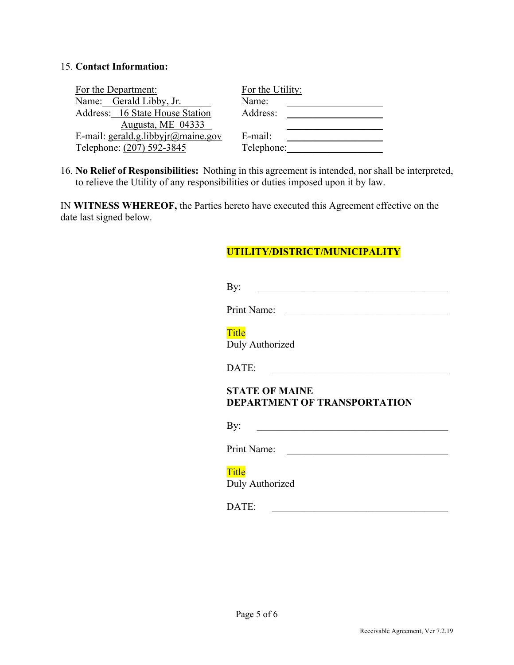### 15. **Contact Information:**

| For the Department:                | For the Utility: |
|------------------------------------|------------------|
| Name: Gerald Libby, Jr.            | Name:            |
| Address: 16 State House Station    | Address:         |
| Augusta, ME 04333                  |                  |
| E-mail: gerald.g.libbyjr@maine.gov | E-mail:          |
| Telephone: (207) 592-3845          | Telephone:       |

16. **No Relief of Responsibilities:** Nothing in this agreement is intended, nor shall be interpreted, to relieve the Utility of any responsibilities or duties imposed upon it by law.

IN **WITNESS WHEREOF,** the Parties hereto have executed this Agreement effective on the date last signed below.

### **UTILITY/DISTRICT/MUNICIPALITY**

| By:                |                                                   |
|--------------------|---------------------------------------------------|
| Print Name:        | <u> 1980 - Johann Barbara, martxa alemaniar a</u> |
| <b>Title</b>       | Duly Authorized                                   |
| DATE:              |                                                   |
|                    | <b>STATE OF MAINE</b>                             |
|                    | <b>DEPARTMENT OF TRANSPORTATION</b>               |
| By:<br>Print Name: |                                                   |
| <b>Title</b>       | Duly Authorized                                   |